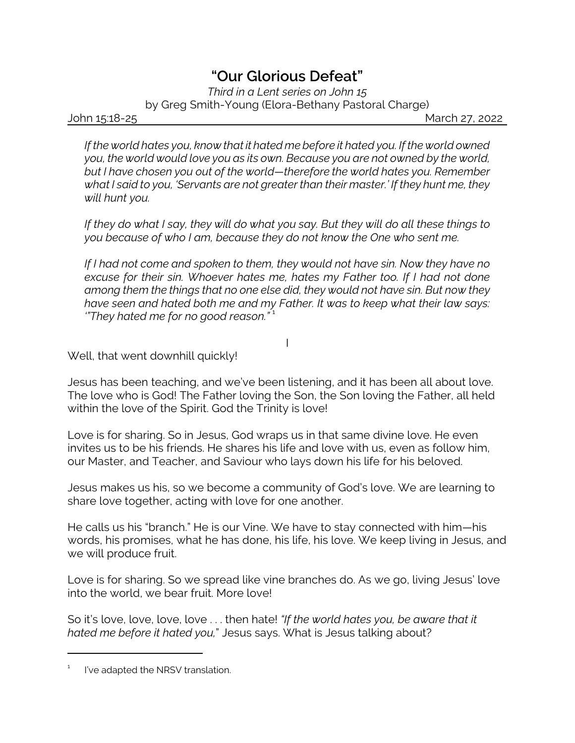## *"Our Glorious Defeat"*

*Third in a Lent series on John 15*

by Greg Smith-Young (Elora-Bethany Pastoral Charge)

John 15:18-25 March 27, 2022

*If the world hates you, know that it hated me before it hated you. If the world owned you, the world would love you as its own. Because you are not owned by the world, but I have chosen you out of the world—therefore the world hates you. Remember what I said to you, 'Servants are not greater than their master.' If they hunt me, they will hunt you.* 

*If they do what I say, they will do what you say. But they will do all these things to you because of who I am, because they do not know the One who sent me.* 

*If I had not come and spoken to them, they would not have sin. Now they have no excuse for their sin. Whoever hates me, hates my Father too. If I had not done among them the things that no one else did, they would not have sin. But now they have seen and hated both me and my Father. It was to keep what their law says: '"They hated me for no good reason."* <sup>1</sup>

I

Well, that went downhill quickly!

Jesus has been teaching, and we've been listening, and it has been all about love. The love who is God! The Father loving the Son, the Son loving the Father, all held within the love of the Spirit. God the Trinity is love!

Love is for sharing. So in Jesus, God wraps us in that same divine love. He even invites us to be his friends. He shares his life and love with us, even as follow him, our Master, and Teacher, and Saviour who lays down his life for his beloved.

Jesus makes us his, so we become a community of God's love. We are learning to share love together, acting with love for one another.

He calls us his "branch." He is our Vine. We have to stay connected with him—his words, his promises, what he has done, his life, his love. We keep living in Jesus, and we will produce fruit.

Love is for sharing. So we spread like vine branches do. As we go, living Jesus' love into the world, we bear fruit. More love!

So it's love, love, love, love . . . then hate! *"If the world hates you, be aware that it hated me before it hated you,*" Jesus says. What is Jesus talking about?

<sup>1</sup> I've adapted the NRSV translation.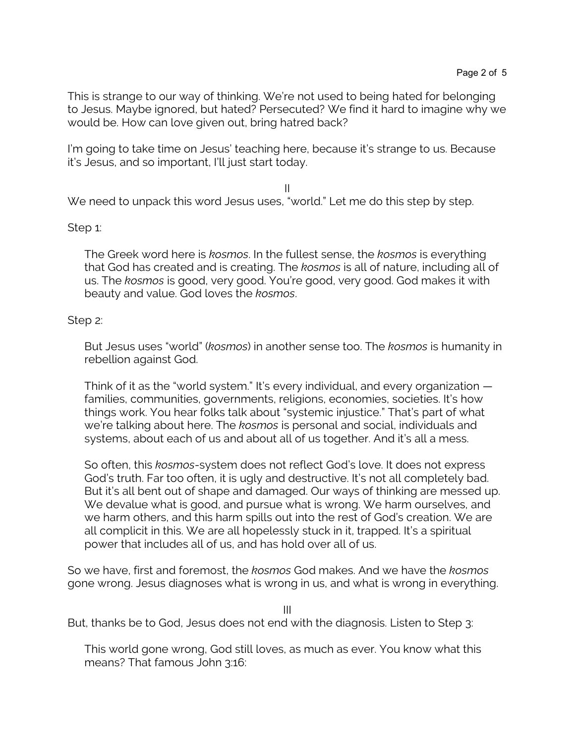This is strange to our way of thinking. We're not used to being hated for belonging to Jesus. Maybe ignored, but hated? Persecuted? We find it hard to imagine why we would be. How can love given out, bring hatred back?

I'm going to take time on Jesus' teaching here, because it's strange to us. Because it's Jesus, and so important, I'll just start today.

II We need to unpack this word Jesus uses, "world." Let me do this step by step.

## Step 1:

The Greek word here is *kosmos*. In the fullest sense, the *kosmos* is everything that God has created and is creating. The *kosmos* is all of nature, including all of us. The *kosmos* is good, very good. You're good, very good. God makes it with beauty and value. God loves the *kosmos*.

## Step 2:

But Jesus uses "world" (*kosmos*) in another sense too. The *kosmos* is humanity in rebellion against God.

Think of it as the "world system." It's every individual, and every organization families, communities, governments, religions, economies, societies. It's how things work. You hear folks talk about "systemic injustice." That's part of what we're talking about here. The *kosmos* is personal and social, individuals and systems, about each of us and about all of us together. And it's all a mess.

So often, this *kosmos*-system does not reflect God's love. It does not express God's truth. Far too often, it is ugly and destructive. It's not all completely bad. But it's all bent out of shape and damaged. Our ways of thinking are messed up. We devalue what is good, and pursue what is wrong. We harm ourselves, and we harm others, and this harm spills out into the rest of God's creation. We are all complicit in this. We are all hopelessly stuck in it, trapped. It's a spiritual power that includes all of us, and has hold over all of us.

So we have, first and foremost, the *kosmos* God makes. And we have the *kosmos* gone wrong. Jesus diagnoses what is wrong in us, and what is wrong in everything.

III

But, thanks be to God, Jesus does not end with the diagnosis. Listen to Step 3:

This world gone wrong, God still loves, as much as ever. You know what this means? That famous John 3:16: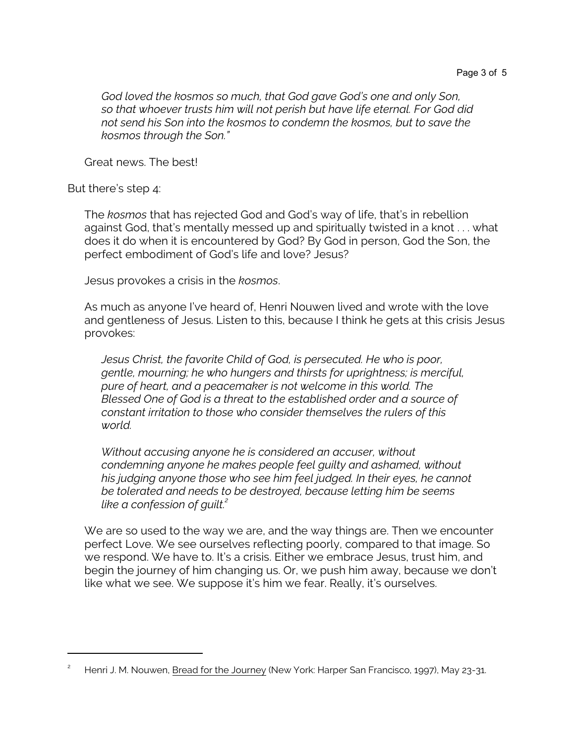*God loved the kosmos so much, that God gave God's one and only Son, so that whoever trusts him will not perish but have life eternal. For God did not send his Son into the kosmos to condemn the kosmos, but to save the kosmos through the Son."*

Great news. The best!

But there's step 4:

The *kosmos* that has rejected God and God's way of life, that's in rebellion against God, that's mentally messed up and spiritually twisted in a knot . . . what does it do when it is encountered by God? By God in person, God the Son, the perfect embodiment of God's life and love? Jesus?

Jesus provokes a crisis in the *kosmos*.

As much as anyone I've heard of, Henri Nouwen lived and wrote with the love and gentleness of Jesus. Listen to this, because I think he gets at this crisis Jesus provokes:

*Jesus Christ, the favorite Child of God, is persecuted. He who is poor, gentle, mourning; he who hungers and thirsts for uprightness; is merciful, pure of heart, and a peacemaker is not welcome in this world. The Blessed One of God is a threat to the established order and a source of constant irritation to those who consider themselves the rulers of this world.* 

*Without accusing anyone he is considered an accuser, without condemning anyone he makes people feel guilty and ashamed, without his judging anyone those who see him feel judged. In their eyes, he cannot be tolerated and needs to be destroyed, because letting him be seems like a confession of guilt.<sup>2</sup>*

We are so used to the way we are, and the way things are. Then we encounter perfect Love. We see ourselves reflecting poorly, compared to that image. So we respond. We have to. It's a crisis. Either we embrace Jesus, trust him, and begin the journey of him changing us. Or, we push him away, because we don't like what we see. We suppose it's him we fear. Really, it's ourselves.

Henri J. M. Nouwen, Bread for the Journey (New York: Harper San Francisco, 1997), May 23-31.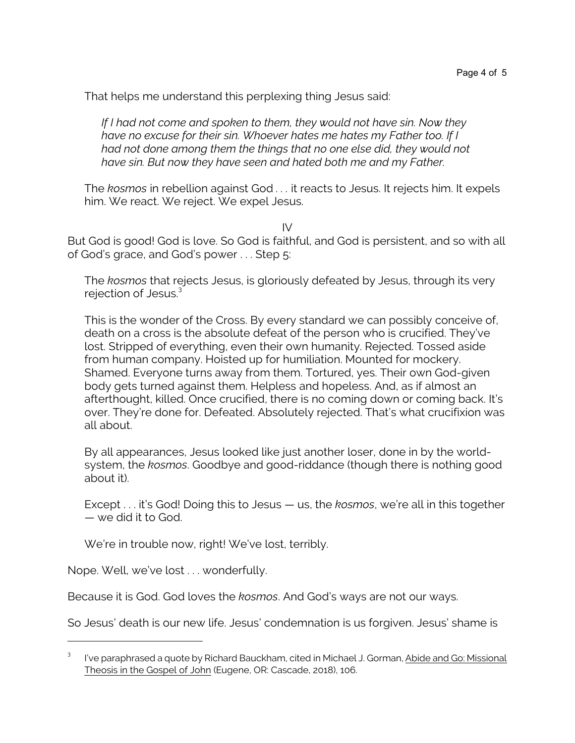That helps me understand this perplexing thing Jesus said:

*If I had not come and spoken to them, they would not have sin. Now they have no excuse for their sin. Whoever hates me hates my Father too. If I had not done among them the things that no one else did, they would not have sin. But now they have seen and hated both me and my Father.*

The *kosmos* in rebellion against God *. . .* it reacts to Jesus. It rejects him. It expels him. We react. We reject. We expel Jesus.

IV

But God is good! God is love. So God is faithful, and God is persistent, and so with all of God's grace, and God's power . . . Step 5:

The *kosmos* that rejects Jesus, is gloriously defeated by Jesus, through its very rejection of Jesus.<sup>3</sup>

This is the wonder of the Cross. By every standard we can possibly conceive of, death on a cross is the absolute defeat of the person who is crucified. They've lost. Stripped of everything, even their own humanity. Rejected. Tossed aside from human company. Hoisted up for humiliation. Mounted for mockery. Shamed. Everyone turns away from them. Tortured, yes. Their own God-given body gets turned against them. Helpless and hopeless. And, as if almost an afterthought, killed. Once crucified, there is no coming down or coming back. It's over. They're done for. Defeated. Absolutely rejected. That's what crucifixion was all about.

By all appearances, Jesus looked like just another loser, done in by the worldsystem, the *kosmos*. Goodbye and good-riddance (though there is nothing good about it).

Except . . . it's God! Doing this to Jesus — us, the *kosmos*, we're all in this together — we did it to God.

We're in trouble now, right! We've lost, terribly.

Nope. Well, we've lost . . . wonderfully.

Because it is God. God loves the *kosmos*. And God's ways are not our ways.

So Jesus' death is our new life. Jesus' condemnation is us forgiven. Jesus' shame is

<sup>3</sup> I've paraphrased a quote by Richard Bauckham, cited in Michael J. Gorman, Abide and Go: Missional Theosis in the Gospel of John (Eugene, OR: Cascade, 2018), 106.